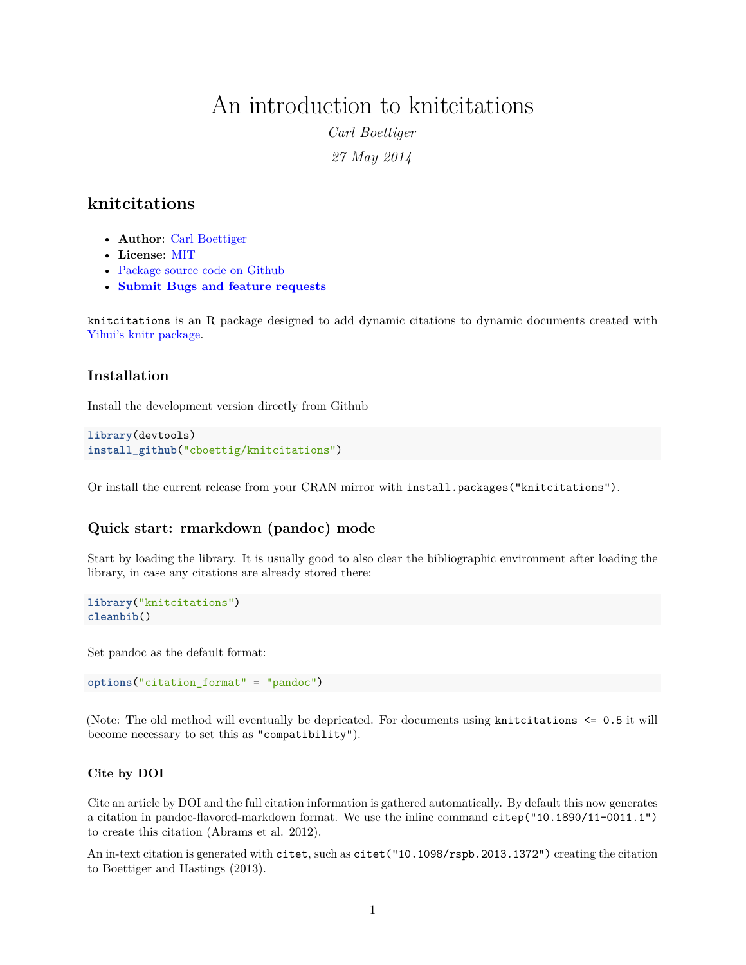# An introduction to knitcitations

*Carl Boettiger 27 May 2014*

## **knitcitations**

- **Author**: [Carl Boettiger](http://www.carlboettiger.info/)
- **License**: [MIT](http://opensource.org/licenses/MIT)
- [Package source code on Github](https://github.com/cboettig/knitcitations)
- **[Submit Bugs and feature requests](https://github.com/cboettig/knitcitations/issues)**

knitcitations is an R package designed to add dynamic citations to dynamic documents created with [Yihui's knitr package.](https://github.com/yihui/knitr)

### **Installation**

Install the development version directly from Github

```
library(devtools)
install_github("cboettig/knitcitations")
```
Or install the current release from your CRAN mirror with install.packages("knitcitations").

### **Quick start: rmarkdown (pandoc) mode**

Start by loading the library. It is usually good to also clear the bibliographic environment after loading the library, in case any citations are already stored there:

```
library("knitcitations")
cleanbib()
```
Set pandoc as the default format:

```
options("citation_format" = "pandoc")
```
(Note: The old method will eventually be depricated. For documents using knitcitations <= 0.5 it will become necessary to set this as "compatibility").

#### **Cite by DOI**

Cite an article by DOI and the full citation information is gathered automatically. By default this now generates a citation in pandoc-flavored-markdown format. We use the inline command citep("10.1890/11-0011.1") to create this citation (Abrams et al. 2012).

An in-text citation is generated with citet, such as citet ("10.1098/rspb.2013.1372") creating the citation to Boettiger and Hastings (2013).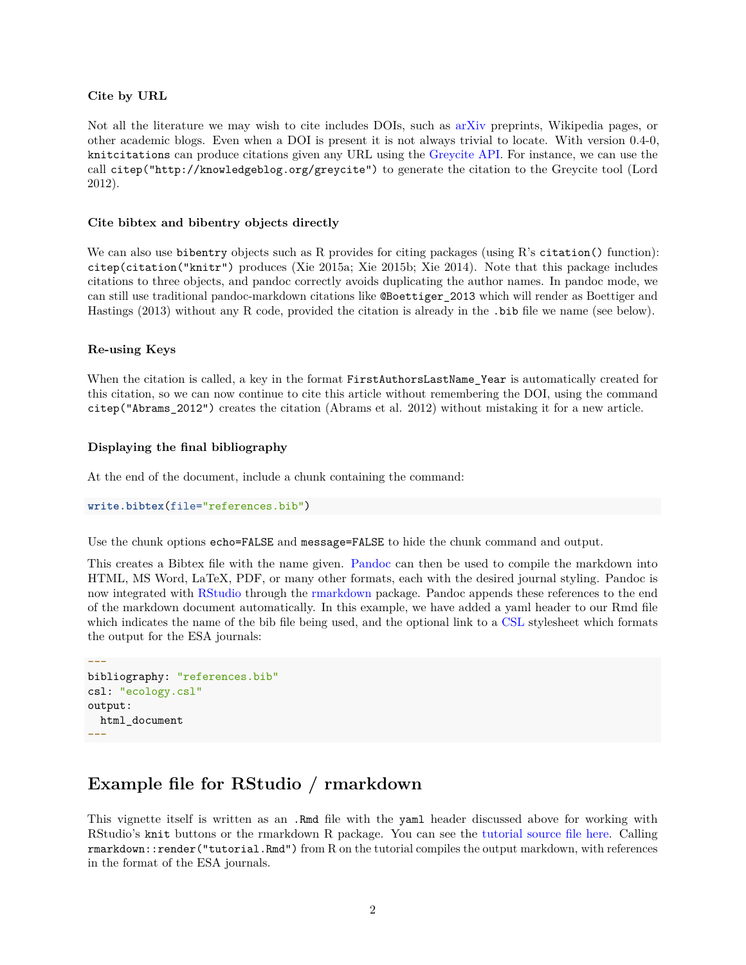#### **Cite by URL**

Not all the literature we may wish to cite includes DOIs, such as [arXiv](http://arxiv.org) preprints, Wikipedia pages, or other academic blogs. Even when a DOI is present it is not always trivial to locate. With version 0.4-0, knitcitations can produce citations given any URL using the [Greycite API.](http://greycite.knowledgeblog.org) For instance, we can use the call citep("http://knowledgeblog.org/greycite") to generate the citation to the Greycite tool (Lord 2012).

#### **Cite bibtex and bibentry objects directly**

We can also use bibentry objects such as R provides for citing packages (using R's citation() function): citep(citation("knitr") produces (Xie 2015a; Xie 2015b; Xie 2014). Note that this package includes citations to three objects, and pandoc correctly avoids duplicating the author names. In pandoc mode, we can still use traditional pandoc-markdown citations like @Boettiger\_2013 which will render as Boettiger and Hastings (2013) without any R code, provided the citation is already in the .bib file we name (see below).

#### **Re-using Keys**

When the citation is called, a key in the format FirstAuthorsLastName Year is automatically created for this citation, so we can now continue to cite this article without remembering the DOI, using the command citep("Abrams\_2012") creates the citation (Abrams et al. 2012) without mistaking it for a new article.

#### **Displaying the final bibliography**

At the end of the document, include a chunk containing the command:

```
write.bibtex(file="references.bib")
```
Use the chunk options echo=FALSE and message=FALSE to hide the chunk command and output.

This creates a Bibtex file with the name given. [Pandoc](http://johnmacfarlane.net/pandoc) can then be used to compile the markdown into HTML, MS Word, LaTeX, PDF, or many other formats, each with the desired journal styling. Pandoc is now integrated with [RStudio](http://rstudio.com) through the [rmarkdown](http://rmarkdown.rstudio.com) package. Pandoc appends these references to the end of the markdown document automatically. In this example, we have added a yaml header to our Rmd file which indicates the name of the bib file being used, and the optional link to a [CSL](https://github.com/citation-style-language/styles) stylesheet which formats the output for the ESA journals:

```
---
bibliography: "references.bib"
csl: "ecology.csl"
output:
 html_document
---
```
### **Example file for RStudio / rmarkdown**

This vignette itself is written as an .Rmd file with the yaml header discussed above for working with RStudio's knit buttons or the rmarkdown R package. You can see the [tutorial source file here.](https://raw.githubusercontent.com/cboettig/knitcitations/master/vignettes/tutorial.Rmd) Calling rmarkdown::render("tutorial.Rmd") from R on the tutorial compiles the output markdown, with references in the format of the ESA journals.